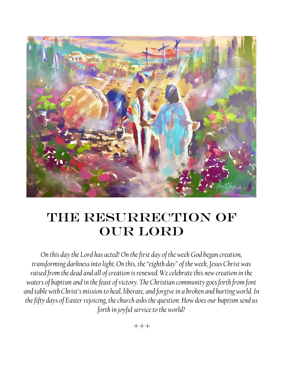

# THE RESURRECTION OF **OUR LORD**

*On this day the Lord has acted! On the first day of the week God began creation, transforming darkness into light. On this, the "eighth day" of the week, Jesus Christ was raised from the dead and all of creation is renewed. We celebrate this new creation in the waters of baptism and in the feast of victory. The Christian community goes forth from font and table with Christ's mission to heal, liberate, and forgive in a broken and hurting world. In the fifty days of Easter rejoicing, the church asks the question: How does our baptism send us forth in joyful service to the world?*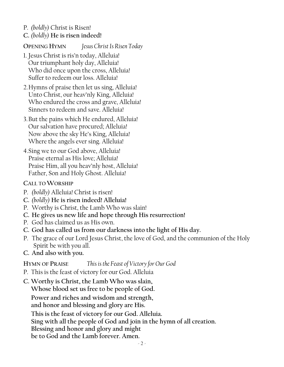P. *(boldly)* Christ is Risen!

# **C.** *(boldly)* **He is risen indeed!**

## **OPENING HYMN** *Jesus Christ Is Risen Today*

- 1. Jesus Christ is ris'n today, Alleluia! Our triumphant holy day, Alleluia! Who did once upon the cross, Alleluia! Suffer to redeem our loss. Alleluia!
- 2.Hymns of praise then let us sing, Alleluia! Unto Christ, our heav'nly King, Alleluia! Who endured the cross and grave, Alleluia! Sinners to redeem and save. Alleluia!
- 3.But the pains which He endured, Alleluia! Our salvation have procured; Alleluia! Now above the sky He's King, Alleluia! Where the angels ever sing. Alleluia!
- 4.Sing we to our God above, Alleluia! Praise eternal as His love; Alleluia! Praise Him, all you heav'nly host, Alleluia! Father, Son and Holy Ghost. Alleluia!

# **CALL TO WORSHIP**

- P. *(boldly)* Alleluia! Christ is risen!
- **C.** *(boldly)* **He is risen indeed! Alleluia!**
- P. Worthy is Christ, the Lamb Who was slain!
- **C. He gives us new life and hope through His resurrection!**
- P. God has claimed us as His own.
- **C. God has called us from our darkness into the light of His day.**
- P. The grace of our Lord Jesus Christ, the love of God, and the communion of the Holy Spirit be with you all.
- **C. And also with you.**

# **HYMN OF PRAISE** *This is the Feast of Victory for Our God*

- P. This is the feast of victory for our God. Alleluia
- **C. Worthy is Christ, the Lamb Who was slain,**

**Whose blood set us free to be people of God. Power and riches and wisdom and strength, and honor and blessing and glory are His. This is the feast of victory for our God. Alleluia. Sing with all the people of God and join in the hymn of all creation. Blessing and honor and glory and might be to God and the Lamb forever. Amen.**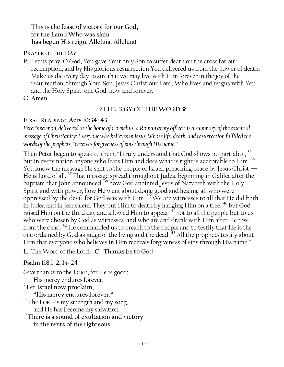#### **This is the feast of victory for our God, for the Lamb Who was slain has begun His reign. Alleluia. Alleluia!**

#### **PRAYER OF THE DAY**

P. Let us pray. O God, You gave Your only Son to suffer death on the cross for our redemption, and by His glorious resurrection You delivered us from the power of death. Make us die every day to sin, that we may live with Him forever in the joy of the resurrection, through Your Son, Jesus Christ our Lord, Who lives and reigns with You and the Holy Spirit, one God, now and forever.

## **C. Amen.**

## **LITURGY OF THE WORD**

## **FIRST READING: Acts 10:34–43**

*Peter's sermon, delivered at the home of Cornelius, a Roman army officer, is a summary of the essential message of Christianity: Everyone who believes in Jesus, Whose life, death, and resurrection fulfilled the words of the prophets, "receives forgiveness of sins through His name."*

Then Peter began to speak to them: "I truly understand that God shows no partiality, <sup>35</sup> but in every nation anyone who fears Him and does what is right is acceptable to Him. <sup>36</sup> You know the message He sent to the people of Israel, preaching peace by Jesus Christ — He is Lord of all. <sup>37</sup> That message spread throughout Judea, beginning in Galilee after the baptism that John announced: <sup>38</sup> how God anointed Jesus of Nazareth with the Holy Spirit and with power; how He went about doing good and healing all who were oppressed by the devil, for God was with Him. <sup>39</sup> We are witnesses to all that He did both in Judea and in Jerusalem. They put Him to death by hanging Him on a tree; <sup>40</sup> but God raised Him on the third day and allowed Him to appear,  $\frac{41}{1}$  not to all the people but to us who were chosen by God as witnesses, and who ate and drank with Him after He rose from the dead.<sup>42</sup> He commanded us to preach to the people and to testify that He is the one ordained by God as judge of the living and the dead.<sup>43</sup> All the prophets testify about Him that everyone who believes in Him receives forgiveness of sins through His name."

## L. The Word of the Lord. **C. Thanks be to God**

## **Psalm 118:1-2, 14-24**

Give thanks to the LORD, for He is good; His mercy endures forever.

**<sup>2</sup>Let Israel now proclaim,**

#### **"His mercy endures forever."**

<sup>14</sup> The LORD is my strength and my song, and He has become my salvation.

<sup>15</sup>**There is a sound of exultation and victory in the tents of the righteous:**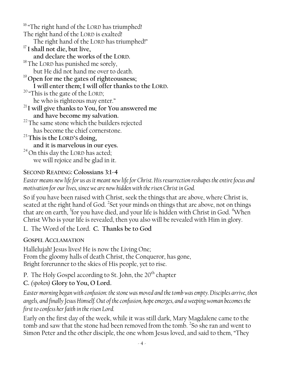<sup>16</sup> "The right hand of the LORD has triumphed! The right hand of the LORD is exalted! The right hand of the LORD has triumphed!" <sup>17</sup> I shall not die, but live, **and declare the works of the LORD.**  <sup>18</sup>The LORD has punished me sorely, but He did not hand me over to death. <sup>19</sup> Open for me the gates of righteousness; **I will enter them; I will offer thanks to the LORD.** <sup>20</sup> "This is the gate of the LORD; he who is righteous may enter." <sup>21</sup>**I will give thanks to You, for You answered me and have become my salvation.**   $22$  The same stone which the builders rejected has become the chief cornerstone. <sup>23</sup>**This is the LORD'<sup>S</sup> doing, and it is marvelous in our eyes.** <sup>24</sup> On this day the LORD has acted; we will rejoice and be glad in it.

#### **SECOND READING: Colossians 3:1-4**

*Easter means new life for us as it meant new life for Christ. His resurrection reshapes the entire focus and motivation for our lives, since we are now hidden with the risen Christ in God.*

So if you have been raised with Christ, seek the things that are above, where Christ is, seated at the right hand of God. <sup>2</sup>Set your minds on things that are above, not on things that are on earth, <sup>3</sup>for you have died, and your life is hidden with Christ in God. <sup>4</sup>When Christ Who is your life is revealed, then you also will be revealed with Him in glory.

L. The Word of the Lord. **C. Thanks be to God**

**GOSPEL ACCLAMATION**

Halleluiah! Iesus lives! He is now the Living One; From the gloomy halls of death Christ, the Conqueror, has gone, Bright forerunner to the skies of His people, yet to rise.

P. The Holy Gospel according to St. John, the  $20<sup>th</sup>$  chapter

**C.** *(spoken)* **Glory to You, O Lord.**

*Easter morning began with confusion: the stone was moved and the tomb was empty. Disciples arrive, then angels, and finally Jesus Himself. Out of the confusion, hope emerges, and a weeping woman becomes the first to confess her faith in the risen Lord.* 

Early on the first day of the week, while it was still dark, Mary Magdalene came to the tomb and saw that the stone had been removed from the tomb.  $^{2}$ So she ran and went to Simon Peter and the other disciple, the one whom Jesus loved, and said to them, "They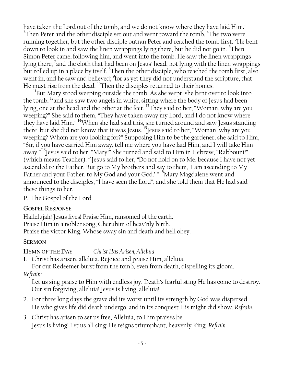have taken the Lord out of the tomb, and we do not know where they have laid Him."  $\rm ^3$ Then Peter and the other disciple set out and went toward the tomb.  $\rm ^4$ The two were running together, but the other disciple outran Peter and reached the tomb first. <sup>5</sup>He bent down to look in and saw the linen wrappings lying there, but he did not go in. <sup>6</sup>Then Simon Peter came, following him, and went into the tomb. He saw the linen wrappings lying there, <sup>7</sup>and the cloth that had been on Jesus' head, not lying with the linen wrappings but rolled up in a place by itself. <sup>8</sup>Then the other disciple, who reached the tomb first, also went in, and he saw and believed; <sup>9</sup>for as yet they did not understand the scripture, that He must rise from the dead. <sup>10</sup>Then the disciples returned to their homes.

<sup>11</sup>But Mary stood weeping outside the tomb. As she wept, she bent over to look into the tomb; <sup>12</sup>and she saw two angels in white, sitting where the body of Jesus had been lying, one at the head and the other at the feet. <sup>13</sup>They said to her, "Woman, why are you weeping?" She said to them, "They have taken away my Lord, and I do not know where they have laid Him." <sup>14</sup>When she had said this, she turned around and saw Jesus standing there, but she did not know that it was Jesus.  $^{15}$ Jesus said to her, "Woman, why are you weeping? Whom are you looking for?" Supposing Him to be the gardener, she said to Him, "Sir, if you have carried Him away, tell me where you have laid Him, and I will take Him away."<sup>16</sup>Jesus said to her, "Mary!" She turned and said to Him in Hebrew, "Rabbouni!" (which means Teacher).  $^{17}$  Jesus said to her, "Do not hold on to Me, because I have not yet ascended to the Father. But go to My brothers and say to them, 'I am ascending to My Father and your Father, to My God and your God.' "<sup>18</sup>Mary Magdalene went and announced to the disciples, "I have seen the Lord"; and she told them that He had said these things to her.

P. The Gospel of the Lord.

## **GOSPEL RESPONSE**

Hallelujah! Jesus lives! Praise Him, ransomed of the earth. Praise Him in a nobler song, Cherubim of heav'nly birth. Praise the victor King, Whose sway sin and death and hell obey.

#### **SERMON**

**HYMN OF THE DAY** *Christ Has Arisen, Alleluia*

- 1. Christ has arisen, alleluia. Rejoice and praise Him, alleluia.
- For our Redeemer burst from the tomb, even from death, dispelling its gloom. *Refrain:*

Let us sing praise to Him with endless joy. Death's fearful sting He has come to destroy. Our sin forgiving, alleluia! Jesus is living, alleluia!

- 2. For three long days the grave did its worst until its strength by God was dispersed. He who gives life did death undergo, and in its conquest His might did show. *Refrain.*
- 3. Christ has arisen to set us free, Alleluia, to Him praises be. Jesus is living! Let us all sing; He reigns triumphant, heavenly King. *Refrain.*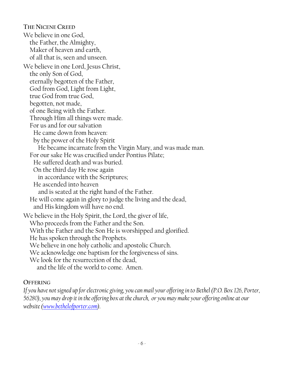**THE NICENE CREED** We believe in one God, the Father, the Almighty, Maker of heaven and earth, of all that is, seen and unseen. We believe in one Lord, Jesus Christ, the only Son of God, eternally begotten of the Father, God from God, Light from Light, true God from true God, begotten, not made, of one Being with the Father. Through Him all things were made. For us and for our salvation He came down from heaven: by the power of the Holy Spirit He became incarnate from the Virgin Mary, and was made man. For our sake He was crucified under Pontius Pilate; He suffered death and was buried. On the third day He rose again in accordance with the Scriptures; He ascended into heaven and is seated at the right hand of the Father. He will come again in glory to judge the living and the dead, and His kingdom will have no end. We believe in the Holy Spirit, the Lord, the giver of life, Who proceeds from the Father and the Son. With the Father and the Son He is worshipped and glorified. He has spoken through the Prophets. We believe in one holy catholic and apostolic Church. We acknowledge one baptism for the forgiveness of sins. We look for the resurrection of the dead, and the life of the world to come. Amen.

#### **OFFERING**

*If you have not signed up for electronic giving, you can mail your offering in to Bethel (P.O. Box 126, Porter, 56280), you may drop it in the offering box at the church, or you may make your offering online at our website [\(www.bethelofporter.com\)](http://www.bethelofporter.com/).*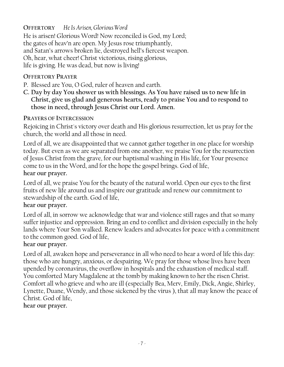## **OFFERTORY** *He Is Arisen, Glorious Word*

He is arisen! Glorious Word! Now reconciled is God, my Lord; the gates of heav'n are open. My Jesus rose triumphantly, and Satan's arrows broken lie, destroyed hell's fiercest weapon. Oh, hear, what cheer! Christ victorious, rising glorious, life is giving. He was dead, but now is living!

#### **OFFERTORY PRAYER**

- P. Blessed are You, O God, ruler of heaven and earth.
- **C. Day by day You shower us with blessings. As You have raised us to new life in Christ, give us glad and generous hearts, ready to praise You and to respond to those in need, through Jesus Christ our Lord. Amen.**

#### **PRAYERS OF INTERCESSION**

Rejoicing in Christ's victory over death and His glorious resurrection, let us pray for the church, the world and all those in need.

Lord of all, we are disappointed that we cannot gather together in one place for worship today. But even as we are separated from one another, we praise You for the resurrection of Jesus Christ from the grave, for our baptismal washing in His life, for Your presence come to us in the Word, and for the hope the gospel brings. God of life, **hear our prayer.**

Lord of all, we praise You for the beauty of the natural world. Open our eyes to the first fruits of new life around us and inspire our gratitude and renew our commitment to stewardship of the earth. God of life,

**hear our prayer.**

Lord of all, in sorrow we acknowledge that war and violence still rages and that so many suffer injustice and oppression. Bring an end to conflict and division especially in the holy lands where Your Son walked. Renew leaders and advocates for peace with a commitment to the common good. God of life,

## **hear our prayer.**

Lord of all, awaken hope and perseverance in all who need to hear a word of life this day: those who are hungry, anxious, or despairing. We pray for those whose lives have been upended by coronavirus, the overflow in hospitals and the exhaustion of medical staff. You comforted Mary Magdalene at the tomb by making known to her the risen Christ. Comfort all who grieve and who are ill (especially Bea, Merv, Emily, Dick, Angie, Shirley, Lynette, Duane, Wendy, and those sickened by the virus ), that all may know the peace of Christ. God of life,

**hear our prayer.**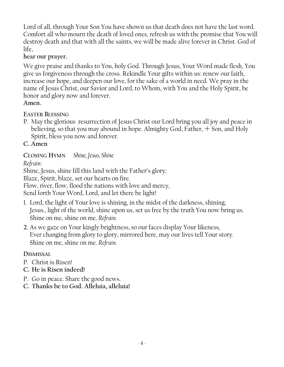Lord of all, through Your Son You have shown us that death does not have the last word. Comfort all who mourn the death of loved ones, refresh us with the promise that You will destroy death and that with all the saints, we will be made alive forever in Christ. God of life,

## **hear our prayer.**

We give praise and thanks to You, holy God. Through Jesus, Your Word made flesh, You give us forgiveness through the cross. Rekindle Your gifts within us: renew our faith, increase our hope, and deepen our love, for the sake of a world in need. We pray in the name of Jesus Christ, our Savior and Lord, to Whom, with You and the Holy Spirit, be honor and glory now and forever.

## **Amen.**

**EASTER BLESSING**

P. May the glorious resurrection of Jesus Christ our Lord bring you all joy and peace in believing, so that you may abound in hope. Almighty God, Father,  $+$  Son, and Holy Spirit, bless you now and forever.

## **C. Amen**

**CLOSING HYMN** *Shine, Jesus, Shine*

*Refrain:*

Shine, Jesus, shine fill this land with the Father's glory;

Blaze, Spirit, blaze, set our hearts on fire.

Flow, river, flow, flood the nations with love and mercy,

Send forth Your Word, Lord, and let there be light!

- 1. Lord, the light of Your love is shining, in the midst of the darkness, shining; Jesus., light of the world, shine upon us, set us free by the truth You now bring us. Shine on me, shine on me. *Refrain.*
- **2.** As we gaze on Your kingly brightness, so our faces display Your likeness, Ever changing from glory to glory, mirrored here, may our lives tell Your story. Shine on me, shine on me. *Refrain.*

## **DISMISSAL**

- P. Christ is Risen!
- **C. He is Risen indeed!**
- P. Go in peace. Share the good news.
- **C. Thanks be to God. Alleluia, alleluia!**